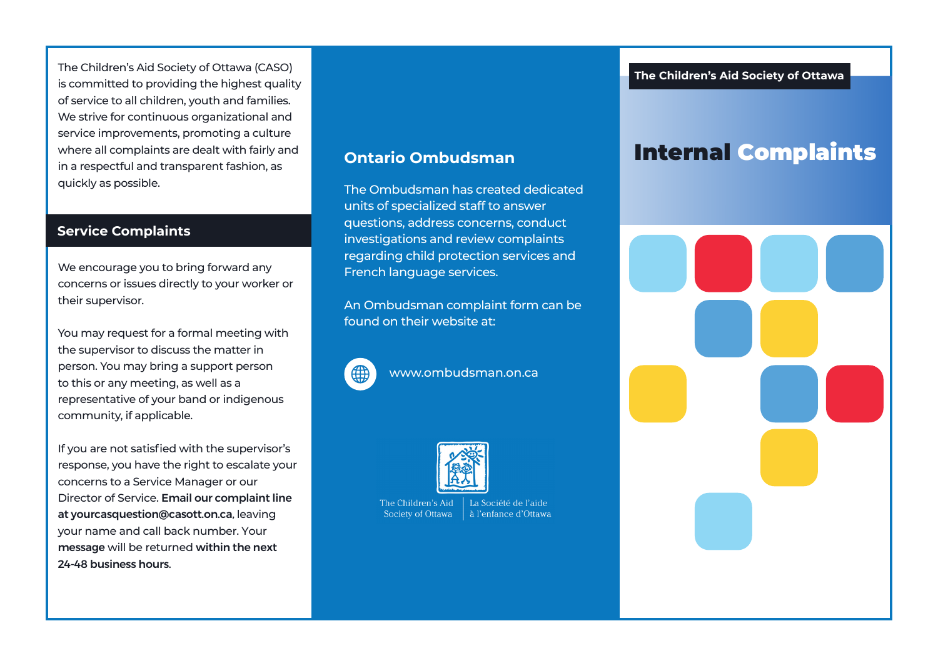The Children's Aid Society of Ottawa (CASO) is committed to providing the highest quality of service to all children, youth and families. We strive for continuous organizational and service improvements, promoting a culture where all complaints are dealt with fairly and in a respectful and transparent fashion, as quickly as possible. The Ombudsman has created dedicated

### **Service Complaints**

We encourage you to bring forward any concerns or issues directly to your worker or their supervisor.

You may request for a formal meeting with the supervisor to discuss the matter in person. You may bring a support person to this or any meeting, as well as a representative of your band or indigenous community, if applicable.

If you are not satisfied with the supervisor's response, you have the right to escalate your concerns to a Service Manager or our Director of Service. Email our complaint line at yourcasquestion@casott.on.ca, leaving your name and call back number. Your message will be returned within the next 24-48 business hours.

## **Ontario Ombudsman**

units of specialized staff to answer questions, address concerns, conduct investigations and review complaints regarding child protection services and French language services.

An Ombudsman complaint form can be found on their website at:



www.ombudsman.on.ca



The Children's Aid La Société de l'aide Society of Ottawa à l'enfance d'Ottawa Internal Complaints

## **The Children's Aid Society of Ottawa**